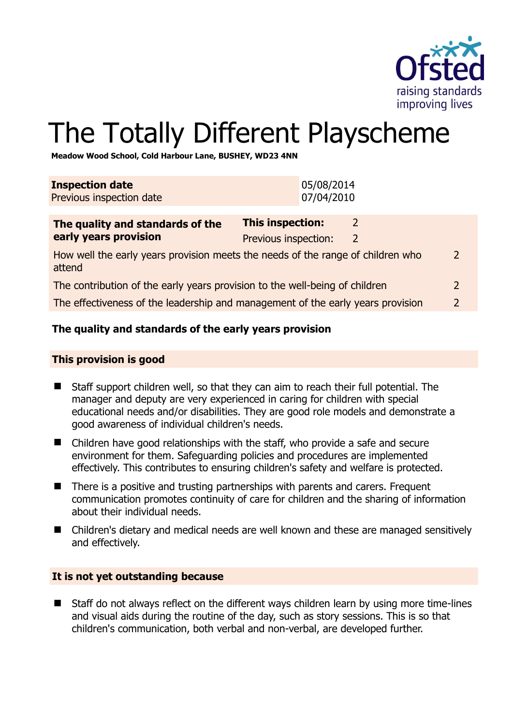

# The Totally Different Playscheme

**Meadow Wood School, Cold Harbour Lane, BUSHEY, WD23 4NN** 

| <b>Inspection date</b><br>Previous inspection date                                                          | 05/08/2014<br>07/04/2010                                              |                |
|-------------------------------------------------------------------------------------------------------------|-----------------------------------------------------------------------|----------------|
| The quality and standards of the<br>early years provision                                                   | <b>This inspection:</b><br>2<br>Previous inspection:<br>$\mathcal{L}$ |                |
| How well the early years provision meets the needs of the range of children who<br>$\overline{2}$<br>attend |                                                                       |                |
| The contribution of the early years provision to the well-being of children                                 |                                                                       | $\mathcal{L}$  |
| The effectiveness of the leadership and management of the early years provision                             |                                                                       | $\overline{2}$ |
|                                                                                                             |                                                                       |                |

# **The quality and standards of the early years provision**

#### **This provision is good**

- Staff support children well, so that they can aim to reach their full potential. The manager and deputy are very experienced in caring for children with special educational needs and/or disabilities. They are good role models and demonstrate a good awareness of individual children's needs.
- Children have good relationships with the staff, who provide a safe and secure environment for them. Safeguarding policies and procedures are implemented effectively. This contributes to ensuring children's safety and welfare is protected.
- There is a positive and trusting partnerships with parents and carers. Frequent communication promotes continuity of care for children and the sharing of information about their individual needs.
- Children's dietary and medical needs are well known and these are managed sensitively and effectively.

#### **It is not yet outstanding because**

 Staff do not always reflect on the different ways children learn by using more time-lines and visual aids during the routine of the day, such as story sessions. This is so that children's communication, both verbal and non-verbal, are developed further.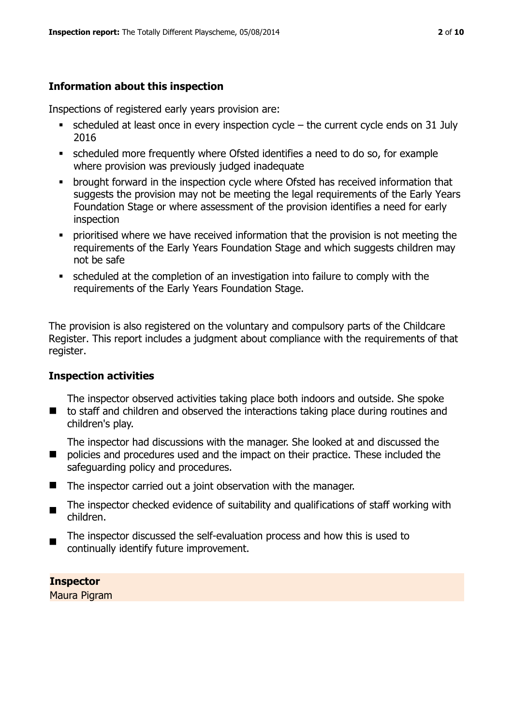# **Information about this inspection**

Inspections of registered early years provision are:

- scheduled at least once in every inspection cycle the current cycle ends on 31 July 2016
- scheduled more frequently where Ofsted identifies a need to do so, for example where provision was previously judged inadequate
- **•** brought forward in the inspection cycle where Ofsted has received information that suggests the provision may not be meeting the legal requirements of the Early Years Foundation Stage or where assessment of the provision identifies a need for early inspection
- **•** prioritised where we have received information that the provision is not meeting the requirements of the Early Years Foundation Stage and which suggests children may not be safe
- scheduled at the completion of an investigation into failure to comply with the requirements of the Early Years Foundation Stage.

The provision is also registered on the voluntary and compulsory parts of the Childcare Register. This report includes a judgment about compliance with the requirements of that register.

# **Inspection activities**

■ to staff and children and observed the interactions taking place during routines and The inspector observed activities taking place both indoors and outside. She spoke children's play.

 $\blacksquare$ The inspector had discussions with the manager. She looked at and discussed the policies and procedures used and the impact on their practice. These included the

- safeguarding policy and procedures.
- The inspector carried out a joint observation with the manager.
- $\blacksquare$ The inspector checked evidence of suitability and qualifications of staff working with children.
- The inspector discussed the self-evaluation process and how this is used to continually identify future improvement.

**Inspector**  Maura Pigram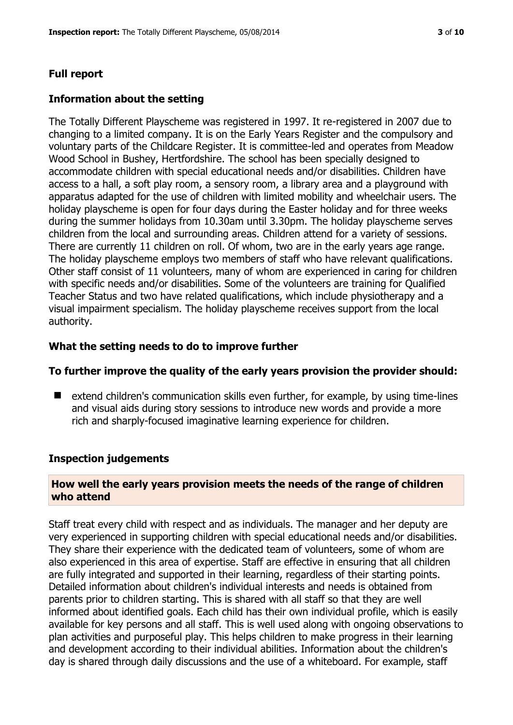# **Full report**

#### **Information about the setting**

The Totally Different Playscheme was registered in 1997. It re-registered in 2007 due to changing to a limited company. It is on the Early Years Register and the compulsory and voluntary parts of the Childcare Register. It is committee-led and operates from Meadow Wood School in Bushey, Hertfordshire. The school has been specially designed to accommodate children with special educational needs and/or disabilities. Children have access to a hall, a soft play room, a sensory room, a library area and a playground with apparatus adapted for the use of children with limited mobility and wheelchair users. The holiday playscheme is open for four days during the Easter holiday and for three weeks during the summer holidays from 10.30am until 3.30pm. The holiday playscheme serves children from the local and surrounding areas. Children attend for a variety of sessions. There are currently 11 children on roll. Of whom, two are in the early years age range. The holiday playscheme employs two members of staff who have relevant qualifications. Other staff consist of 11 volunteers, many of whom are experienced in caring for children with specific needs and/or disabilities. Some of the volunteers are training for Qualified Teacher Status and two have related qualifications, which include physiotherapy and a visual impairment specialism. The holiday playscheme receives support from the local authority.

# **What the setting needs to do to improve further**

#### **To further improve the quality of the early years provision the provider should:**

■ extend children's communication skills even further, for example, by using time-lines and visual aids during story sessions to introduce new words and provide a more rich and sharply-focused imaginative learning experience for children.

# **Inspection judgements**

#### **How well the early years provision meets the needs of the range of children who attend**

Staff treat every child with respect and as individuals. The manager and her deputy are very experienced in supporting children with special educational needs and/or disabilities. They share their experience with the dedicated team of volunteers, some of whom are also experienced in this area of expertise. Staff are effective in ensuring that all children are fully integrated and supported in their learning, regardless of their starting points. Detailed information about children's individual interests and needs is obtained from parents prior to children starting. This is shared with all staff so that they are well informed about identified goals. Each child has their own individual profile, which is easily available for key persons and all staff. This is well used along with ongoing observations to plan activities and purposeful play. This helps children to make progress in their learning and development according to their individual abilities. Information about the children's day is shared through daily discussions and the use of a whiteboard. For example, staff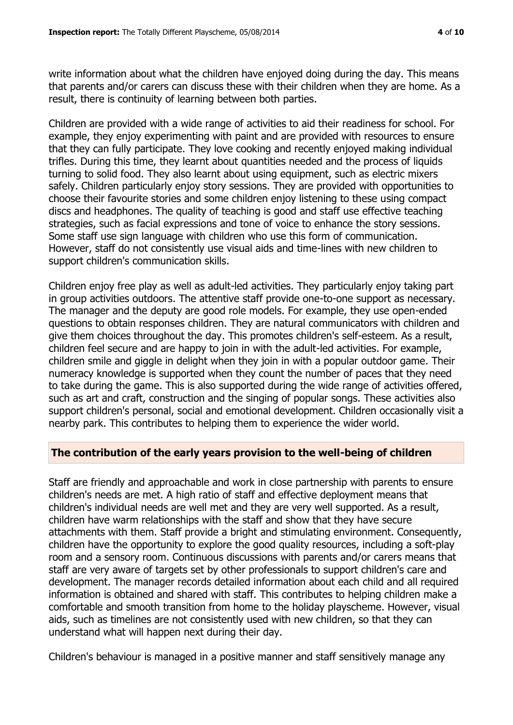write information about what the children have enjoyed doing during the day. This means that parents and/or carers can discuss these with their children when they are home. As a result, there is continuity of learning between both parties.

Children are provided with a wide range of activities to aid their readiness for school. For example, they enjoy experimenting with paint and are provided with resources to ensure that they can fully participate. They love cooking and recently enjoyed making individual trifles. During this time, they learnt about quantities needed and the process of liquids turning to solid food. They also learnt about using equipment, such as electric mixers safely. Children particularly enjoy story sessions. They are provided with opportunities to choose their favourite stories and some children enjoy listening to these using compact discs and headphones. The quality of teaching is good and staff use effective teaching strategies, such as facial expressions and tone of voice to enhance the story sessions. Some staff use sign language with children who use this form of communication. However, staff do not consistently use visual aids and time-lines with new children to support children's communication skills.

Children enjoy free play as well as adult-led activities. They particularly enjoy taking part in group activities outdoors. The attentive staff provide one-to-one support as necessary. The manager and the deputy are good role models. For example, they use open-ended questions to obtain responses children. They are natural communicators with children and give them choices throughout the day. This promotes children's self-esteem. As a result, children feel secure and are happy to join in with the adult-led activities. For example, children smile and giggle in delight when they join in with a popular outdoor game. Their numeracy knowledge is supported when they count the number of paces that they need to take during the game. This is also supported during the wide range of activities offered, such as art and craft, construction and the singing of popular songs. These activities also support children's personal, social and emotional development. Children occasionally visit a nearby park. This contributes to helping them to experience the wider world.

#### **The contribution of the early years provision to the well-being of children**

Staff are friendly and approachable and work in close partnership with parents to ensure children's needs are met. A high ratio of staff and effective deployment means that children's individual needs are well met and they are very well supported. As a result, children have warm relationships with the staff and show that they have secure attachments with them. Staff provide a bright and stimulating environment. Consequently, children have the opportunity to explore the good quality resources, including a soft-play room and a sensory room. Continuous discussions with parents and/or carers means that staff are very aware of targets set by other professionals to support children's care and development. The manager records detailed information about each child and all required information is obtained and shared with staff. This contributes to helping children make a comfortable and smooth transition from home to the holiday playscheme. However, visual aids, such as timelines are not consistently used with new children, so that they can understand what will happen next during their day.

Children's behaviour is managed in a positive manner and staff sensitively manage any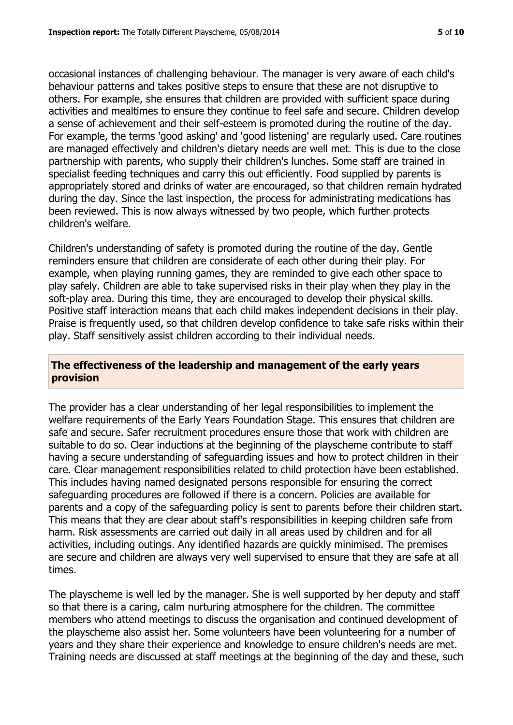occasional instances of challenging behaviour. The manager is very aware of each child's behaviour patterns and takes positive steps to ensure that these are not disruptive to others. For example, she ensures that children are provided with sufficient space during activities and mealtimes to ensure they continue to feel safe and secure. Children develop a sense of achievement and their self-esteem is promoted during the routine of the day. For example, the terms 'good asking' and 'good listening' are regularly used. Care routines are managed effectively and children's dietary needs are well met. This is due to the close partnership with parents, who supply their children's lunches. Some staff are trained in specialist feeding techniques and carry this out efficiently. Food supplied by parents is appropriately stored and drinks of water are encouraged, so that children remain hydrated during the day. Since the last inspection, the process for administrating medications has been reviewed. This is now always witnessed by two people, which further protects children's welfare.

Children's understanding of safety is promoted during the routine of the day. Gentle reminders ensure that children are considerate of each other during their play. For example, when playing running games, they are reminded to give each other space to play safely. Children are able to take supervised risks in their play when they play in the soft-play area. During this time, they are encouraged to develop their physical skills. Positive staff interaction means that each child makes independent decisions in their play. Praise is frequently used, so that children develop confidence to take safe risks within their play. Staff sensitively assist children according to their individual needs.

#### **The effectiveness of the leadership and management of the early years provision**

The provider has a clear understanding of her legal responsibilities to implement the welfare requirements of the Early Years Foundation Stage. This ensures that children are safe and secure. Safer recruitment procedures ensure those that work with children are suitable to do so. Clear inductions at the beginning of the playscheme contribute to staff having a secure understanding of safeguarding issues and how to protect children in their care. Clear management responsibilities related to child protection have been established. This includes having named designated persons responsible for ensuring the correct safeguarding procedures are followed if there is a concern. Policies are available for parents and a copy of the safeguarding policy is sent to parents before their children start. This means that they are clear about staff's responsibilities in keeping children safe from harm. Risk assessments are carried out daily in all areas used by children and for all activities, including outings. Any identified hazards are quickly minimised. The premises are secure and children are always very well supervised to ensure that they are safe at all times.

The playscheme is well led by the manager. She is well supported by her deputy and staff so that there is a caring, calm nurturing atmosphere for the children. The committee members who attend meetings to discuss the organisation and continued development of the playscheme also assist her. Some volunteers have been volunteering for a number of years and they share their experience and knowledge to ensure children's needs are met. Training needs are discussed at staff meetings at the beginning of the day and these, such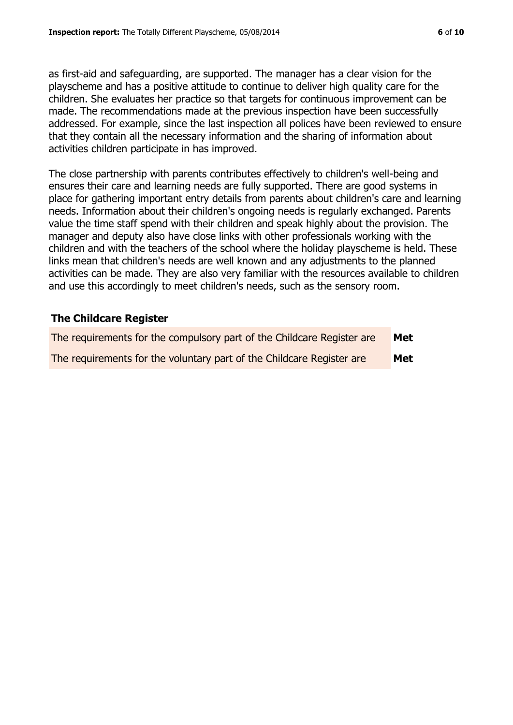as first-aid and safeguarding, are supported. The manager has a clear vision for the playscheme and has a positive attitude to continue to deliver high quality care for the children. She evaluates her practice so that targets for continuous improvement can be made. The recommendations made at the previous inspection have been successfully addressed. For example, since the last inspection all polices have been reviewed to ensure that they contain all the necessary information and the sharing of information about activities children participate in has improved.

The close partnership with parents contributes effectively to children's well-being and ensures their care and learning needs are fully supported. There are good systems in place for gathering important entry details from parents about children's care and learning needs. Information about their children's ongoing needs is regularly exchanged. Parents value the time staff spend with their children and speak highly about the provision. The manager and deputy also have close links with other professionals working with the children and with the teachers of the school where the holiday playscheme is held. These links mean that children's needs are well known and any adjustments to the planned activities can be made. They are also very familiar with the resources available to children and use this accordingly to meet children's needs, such as the sensory room.

# **The Childcare Register**

| The requirements for the compulsory part of the Childcare Register are | Met |
|------------------------------------------------------------------------|-----|
| The requirements for the voluntary part of the Childcare Register are  | Met |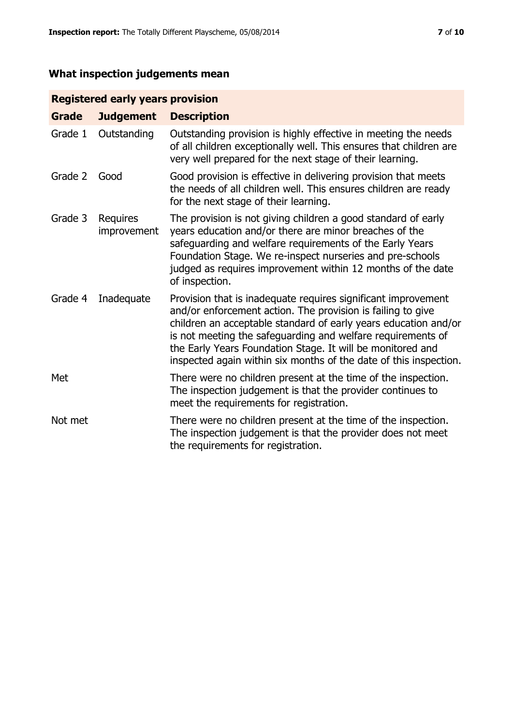# **What inspection judgements mean**

# **Registered early years provision**

| <b>Grade</b> | <b>Judgement</b>        | <b>Description</b>                                                                                                                                                                                                                                                                                                                                                                                |
|--------------|-------------------------|---------------------------------------------------------------------------------------------------------------------------------------------------------------------------------------------------------------------------------------------------------------------------------------------------------------------------------------------------------------------------------------------------|
| Grade 1      | Outstanding             | Outstanding provision is highly effective in meeting the needs<br>of all children exceptionally well. This ensures that children are<br>very well prepared for the next stage of their learning.                                                                                                                                                                                                  |
| Grade 2      | Good                    | Good provision is effective in delivering provision that meets<br>the needs of all children well. This ensures children are ready<br>for the next stage of their learning.                                                                                                                                                                                                                        |
| Grade 3      | Requires<br>improvement | The provision is not giving children a good standard of early<br>years education and/or there are minor breaches of the<br>safeguarding and welfare requirements of the Early Years<br>Foundation Stage. We re-inspect nurseries and pre-schools<br>judged as requires improvement within 12 months of the date<br>of inspection.                                                                 |
| Grade 4      | Inadequate              | Provision that is inadequate requires significant improvement<br>and/or enforcement action. The provision is failing to give<br>children an acceptable standard of early years education and/or<br>is not meeting the safeguarding and welfare requirements of<br>the Early Years Foundation Stage. It will be monitored and<br>inspected again within six months of the date of this inspection. |
| Met          |                         | There were no children present at the time of the inspection.<br>The inspection judgement is that the provider continues to<br>meet the requirements for registration.                                                                                                                                                                                                                            |
| Not met      |                         | There were no children present at the time of the inspection.<br>The inspection judgement is that the provider does not meet<br>the requirements for registration.                                                                                                                                                                                                                                |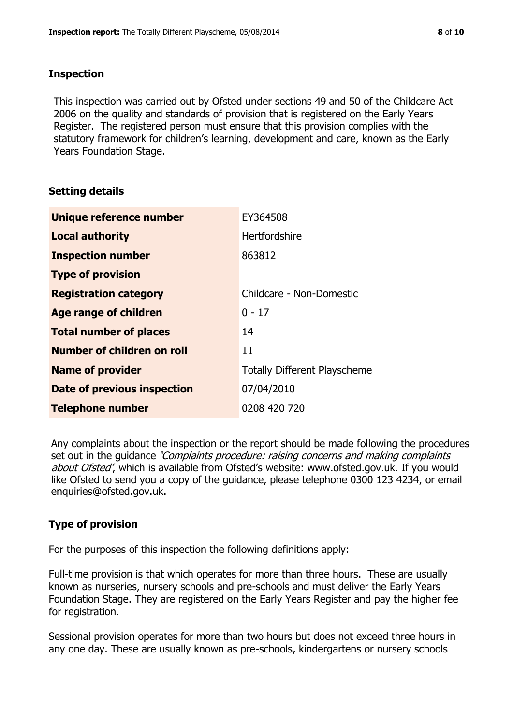#### **Inspection**

This inspection was carried out by Ofsted under sections 49 and 50 of the Childcare Act 2006 on the quality and standards of provision that is registered on the Early Years Register. The registered person must ensure that this provision complies with the statutory framework for children's learning, development and care, known as the Early Years Foundation Stage.

# **Setting details**

| Unique reference number       | EY364508                            |
|-------------------------------|-------------------------------------|
| <b>Local authority</b>        | Hertfordshire                       |
| <b>Inspection number</b>      | 863812                              |
| <b>Type of provision</b>      |                                     |
| <b>Registration category</b>  | Childcare - Non-Domestic            |
| Age range of children         | $0 - 17$                            |
| <b>Total number of places</b> | 14                                  |
| Number of children on roll    | 11                                  |
| <b>Name of provider</b>       | <b>Totally Different Playscheme</b> |
| Date of previous inspection   | 07/04/2010                          |
| <b>Telephone number</b>       | 0208 420 720                        |

Any complaints about the inspection or the report should be made following the procedures set out in the guidance *'Complaints procedure: raising concerns and making complaints* about Ofsted', which is available from Ofsted's website: www.ofsted.gov.uk. If you would like Ofsted to send you a copy of the guidance, please telephone 0300 123 4234, or email enquiries@ofsted.gov.uk.

# **Type of provision**

For the purposes of this inspection the following definitions apply:

Full-time provision is that which operates for more than three hours. These are usually known as nurseries, nursery schools and pre-schools and must deliver the Early Years Foundation Stage. They are registered on the Early Years Register and pay the higher fee for registration.

Sessional provision operates for more than two hours but does not exceed three hours in any one day. These are usually known as pre-schools, kindergartens or nursery schools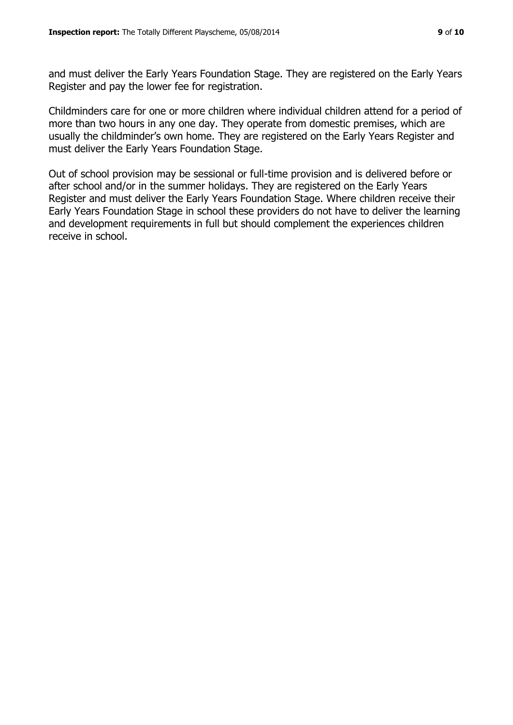and must deliver the Early Years Foundation Stage. They are registered on the Early Years Register and pay the lower fee for registration.

Childminders care for one or more children where individual children attend for a period of more than two hours in any one day. They operate from domestic premises, which are usually the childminder's own home. They are registered on the Early Years Register and must deliver the Early Years Foundation Stage.

Out of school provision may be sessional or full-time provision and is delivered before or after school and/or in the summer holidays. They are registered on the Early Years Register and must deliver the Early Years Foundation Stage. Where children receive their Early Years Foundation Stage in school these providers do not have to deliver the learning and development requirements in full but should complement the experiences children receive in school.